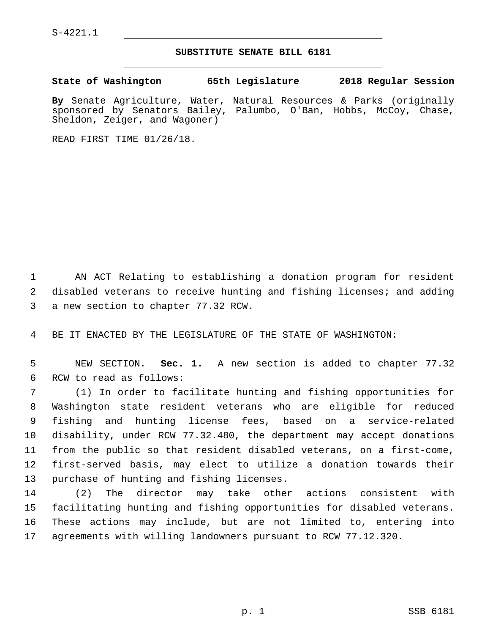S-4221.1

## **SUBSTITUTE SENATE BILL 6181**

**State of Washington 65th Legislature 2018 Regular Session**

**By** Senate Agriculture, Water, Natural Resources & Parks (originally sponsored by Senators Bailey, Palumbo, O'Ban, Hobbs, McCoy, Chase, Sheldon, Zeiger, and Wagoner)

READ FIRST TIME 01/26/18.

1 AN ACT Relating to establishing a donation program for resident 2 disabled veterans to receive hunting and fishing licenses; and adding 3 a new section to chapter 77.32 RCW.

4 BE IT ENACTED BY THE LEGISLATURE OF THE STATE OF WASHINGTON:

5 NEW SECTION. **Sec. 1.** A new section is added to chapter 77.32 6 RCW to read as follows:

 (1) In order to facilitate hunting and fishing opportunities for Washington state resident veterans who are eligible for reduced fishing and hunting license fees, based on a service-related disability, under RCW 77.32.480, the department may accept donations from the public so that resident disabled veterans, on a first-come, first-served basis, may elect to utilize a donation towards their 13 purchase of hunting and fishing licenses.

 (2) The director may take other actions consistent with facilitating hunting and fishing opportunities for disabled veterans. These actions may include, but are not limited to, entering into agreements with willing landowners pursuant to RCW 77.12.320.